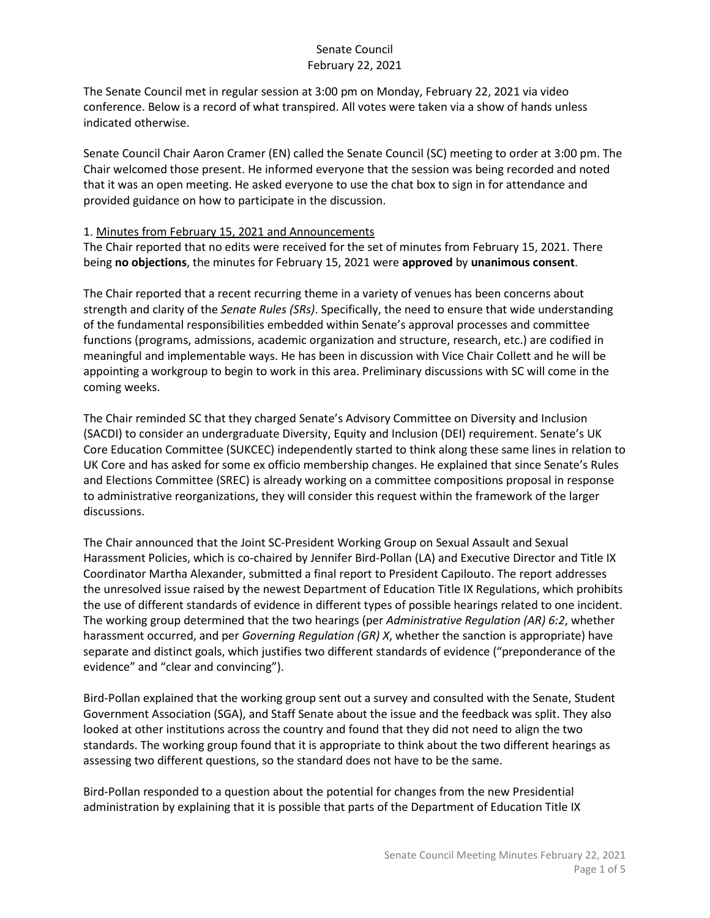The Senate Council met in regular session at 3:00 pm on Monday, February 22, 2021 via video conference. Below is a record of what transpired. All votes were taken via a show of hands unless indicated otherwise.

Senate Council Chair Aaron Cramer (EN) called the Senate Council (SC) meeting to order at 3:00 pm. The Chair welcomed those present. He informed everyone that the session was being recorded and noted that it was an open meeting. He asked everyone to use the chat box to sign in for attendance and provided guidance on how to participate in the discussion.

## 1. Minutes from February 15, 2021 and Announcements

The Chair reported that no edits were received for the set of minutes from February 15, 2021. There being **no objections**, the minutes for February 15, 2021 were **approved** by **unanimous consent**.

The Chair reported that a recent recurring theme in a variety of venues has been concerns about strength and clarity of the *Senate Rules (SRs)*. Specifically, the need to ensure that wide understanding of the fundamental responsibilities embedded within Senate's approval processes and committee functions (programs, admissions, academic organization and structure, research, etc.) are codified in meaningful and implementable ways. He has been in discussion with Vice Chair Collett and he will be appointing a workgroup to begin to work in this area. Preliminary discussions with SC will come in the coming weeks.

The Chair reminded SC that they charged Senate's Advisory Committee on Diversity and Inclusion (SACDI) to consider an undergraduate Diversity, Equity and Inclusion (DEI) requirement. Senate's UK Core Education Committee (SUKCEC) independently started to think along these same lines in relation to UK Core and has asked for some ex officio membership changes. He explained that since Senate's Rules and Elections Committee (SREC) is already working on a committee compositions proposal in response to administrative reorganizations, they will consider this request within the framework of the larger discussions.

The Chair announced that the Joint SC-President Working Group on Sexual Assault and Sexual Harassment Policies, which is co-chaired by Jennifer Bird-Pollan (LA) and Executive Director and Title IX Coordinator Martha Alexander, submitted a final report to President Capilouto. The report addresses the unresolved issue raised by the newest Department of Education Title IX Regulations, which prohibits the use of different standards of evidence in different types of possible hearings related to one incident. The working group determined that the two hearings (per *Administrative Regulation (AR) 6:2*, whether harassment occurred, and per *Governing Regulation (GR) X*, whether the sanction is appropriate) have separate and distinct goals, which justifies two different standards of evidence ("preponderance of the evidence" and "clear and convincing").

Bird-Pollan explained that the working group sent out a survey and consulted with the Senate, Student Government Association (SGA), and Staff Senate about the issue and the feedback was split. They also looked at other institutions across the country and found that they did not need to align the two standards. The working group found that it is appropriate to think about the two different hearings as assessing two different questions, so the standard does not have to be the same.

Bird-Pollan responded to a question about the potential for changes from the new Presidential administration by explaining that it is possible that parts of the Department of Education Title IX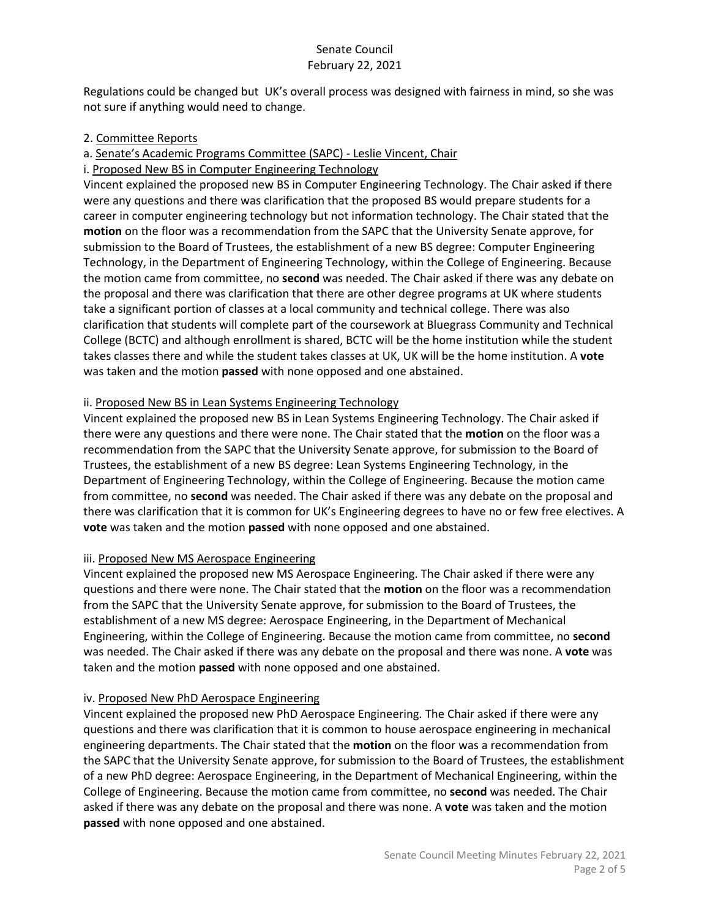Regulations could be changed but UK's overall process was designed with fairness in mind, so she was not sure if anything would need to change.

## 2. Committee Reports

a. Senate's Academic Programs Committee (SAPC) - Leslie Vincent, Chair

i. Proposed New BS in Computer Engineering Technology

Vincent explained the proposed new BS in Computer Engineering Technology. The Chair asked if there were any questions and there was clarification that the proposed BS would prepare students for a career in computer engineering technology but not information technology. The Chair stated that the **motion** on the floor was a recommendation from the SAPC that the University Senate approve, for submission to the Board of Trustees, the establishment of a new BS degree: Computer Engineering Technology, in the Department of Engineering Technology, within the College of Engineering. Because the motion came from committee, no **second** was needed. The Chair asked if there was any debate on the proposal and there was clarification that there are other degree programs at UK where students take a significant portion of classes at a local community and technical college. There was also clarification that students will complete part of the coursework at Bluegrass Community and Technical College (BCTC) and although enrollment is shared, BCTC will be the home institution while the student takes classes there and while the student takes classes at UK, UK will be the home institution. A **vote** was taken and the motion **passed** with none opposed and one abstained.

## ii. Proposed New BS in Lean Systems Engineering Technology

Vincent explained the proposed new BS in Lean Systems Engineering Technology. The Chair asked if there were any questions and there were none. The Chair stated that the **motion** on the floor was a recommendation from the SAPC that the University Senate approve, for submission to the Board of Trustees, the establishment of a new BS degree: Lean Systems Engineering Technology, in the Department of Engineering Technology, within the College of Engineering. Because the motion came from committee, no **second** was needed. The Chair asked if there was any debate on the proposal and there was clarification that it is common for UK's Engineering degrees to have no or few free electives. A **vote** was taken and the motion **passed** with none opposed and one abstained.

## iii. Proposed New MS Aerospace Engineering

Vincent explained the proposed new MS Aerospace Engineering. The Chair asked if there were any questions and there were none. The Chair stated that the **motion** on the floor was a recommendation from the SAPC that the University Senate approve, for submission to the Board of Trustees, the establishment of a new MS degree: Aerospace Engineering, in the Department of Mechanical Engineering, within the College of Engineering. Because the motion came from committee, no **second** was needed. The Chair asked if there was any debate on the proposal and there was none. A **vote** was taken and the motion **passed** with none opposed and one abstained.

## iv. Proposed New PhD Aerospace Engineering

Vincent explained the proposed new PhD Aerospace Engineering. The Chair asked if there were any questions and there was clarification that it is common to house aerospace engineering in mechanical engineering departments. The Chair stated that the **motion** on the floor was a recommendation from the SAPC that the University Senate approve, for submission to the Board of Trustees, the establishment of a new PhD degree: Aerospace Engineering, in the Department of Mechanical Engineering, within the College of Engineering. Because the motion came from committee, no **second** was needed. The Chair asked if there was any debate on the proposal and there was none. A **vote** was taken and the motion **passed** with none opposed and one abstained.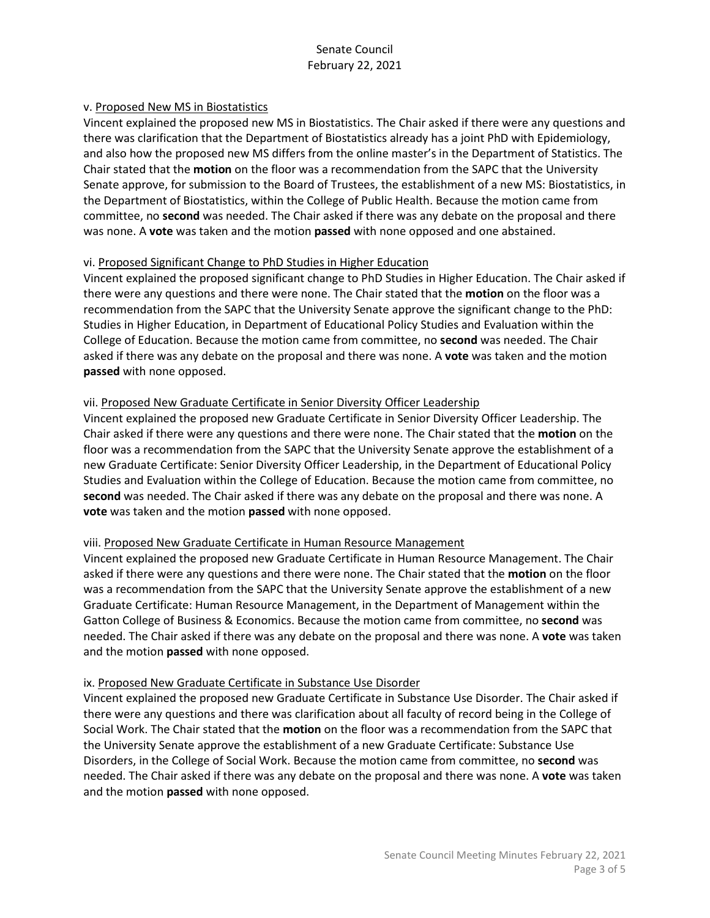#### v. Proposed New MS in Biostatistics

Vincent explained the proposed new MS in Biostatistics. The Chair asked if there were any questions and there was clarification that the Department of Biostatistics already has a joint PhD with Epidemiology, and also how the proposed new MS differs from the online master's in the Department of Statistics. The Chair stated that the **motion** on the floor was a recommendation from the SAPC that the University Senate approve, for submission to the Board of Trustees, the establishment of a new MS: Biostatistics, in the Department of Biostatistics, within the College of Public Health. Because the motion came from committee, no **second** was needed. The Chair asked if there was any debate on the proposal and there was none. A **vote** was taken and the motion **passed** with none opposed and one abstained.

#### vi. Proposed Significant Change to PhD Studies in Higher Education

Vincent explained the proposed significant change to PhD Studies in Higher Education. The Chair asked if there were any questions and there were none. The Chair stated that the **motion** on the floor was a recommendation from the SAPC that the University Senate approve the significant change to the PhD: Studies in Higher Education, in Department of Educational Policy Studies and Evaluation within the College of Education. Because the motion came from committee, no **second** was needed. The Chair asked if there was any debate on the proposal and there was none. A **vote** was taken and the motion **passed** with none opposed.

#### vii. Proposed New Graduate Certificate in Senior Diversity Officer Leadership

Vincent explained the proposed new Graduate Certificate in Senior Diversity Officer Leadership. The Chair asked if there were any questions and there were none. The Chair stated that the **motion** on the floor was a recommendation from the SAPC that the University Senate approve the establishment of a new Graduate Certificate: Senior Diversity Officer Leadership, in the Department of Educational Policy Studies and Evaluation within the College of Education. Because the motion came from committee, no **second** was needed. The Chair asked if there was any debate on the proposal and there was none. A **vote** was taken and the motion **passed** with none opposed.

#### viii. Proposed New Graduate Certificate in Human Resource Management

Vincent explained the proposed new Graduate Certificate in Human Resource Management. The Chair asked if there were any questions and there were none. The Chair stated that the **motion** on the floor was a recommendation from the SAPC that the University Senate approve the establishment of a new Graduate Certificate: Human Resource Management, in the Department of Management within the Gatton College of Business & Economics. Because the motion came from committee, no **second** was needed. The Chair asked if there was any debate on the proposal and there was none. A **vote** was taken and the motion **passed** with none opposed.

#### ix. Proposed New Graduate Certificate in Substance Use Disorder

Vincent explained the proposed new Graduate Certificate in Substance Use Disorder. The Chair asked if there were any questions and there was clarification about all faculty of record being in the College of Social Work. The Chair stated that the **motion** on the floor was a recommendation from the SAPC that the University Senate approve the establishment of a new Graduate Certificate: Substance Use Disorders, in the College of Social Work. Because the motion came from committee, no **second** was needed. The Chair asked if there was any debate on the proposal and there was none. A **vote** was taken and the motion **passed** with none opposed.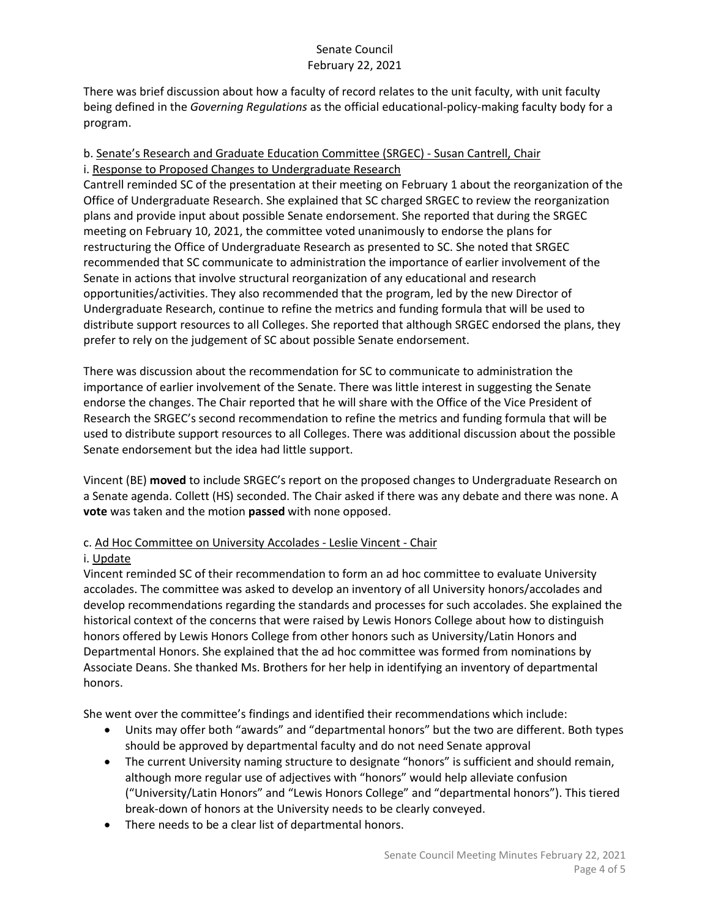There was brief discussion about how a faculty of record relates to the unit faculty, with unit faculty being defined in the *Governing Regulations* as the official educational-policy-making faculty body for a program.

## b. Senate's Research and Graduate Education Committee (SRGEC) - Susan Cantrell, Chair i. Response to Proposed Changes to Undergraduate Research

Cantrell reminded SC of the presentation at their meeting on February 1 about the reorganization of the Office of Undergraduate Research. She explained that SC charged SRGEC to review the reorganization plans and provide input about possible Senate endorsement. She reported that during the SRGEC meeting on February 10, 2021, the committee voted unanimously to endorse the plans for restructuring the Office of Undergraduate Research as presented to SC. She noted that SRGEC recommended that SC communicate to administration the importance of earlier involvement of the Senate in actions that involve structural reorganization of any educational and research opportunities/activities. They also recommended that the program, led by the new Director of Undergraduate Research, continue to refine the metrics and funding formula that will be used to distribute support resources to all Colleges. She reported that although SRGEC endorsed the plans, they prefer to rely on the judgement of SC about possible Senate endorsement.

There was discussion about the recommendation for SC to communicate to administration the importance of earlier involvement of the Senate. There was little interest in suggesting the Senate endorse the changes. The Chair reported that he will share with the Office of the Vice President of Research the SRGEC's second recommendation to refine the metrics and funding formula that will be used to distribute support resources to all Colleges. There was additional discussion about the possible Senate endorsement but the idea had little support.

Vincent (BE) **moved** to include SRGEC's report on the proposed changes to Undergraduate Research on a Senate agenda. Collett (HS) seconded. The Chair asked if there was any debate and there was none. A **vote** was taken and the motion **passed** with none opposed.

# c. Ad Hoc Committee on University Accolades - Leslie Vincent - Chair

## i. Update

Vincent reminded SC of their recommendation to form an ad hoc committee to evaluate University accolades. The committee was asked to develop an inventory of all University honors/accolades and develop recommendations regarding the standards and processes for such accolades. She explained the historical context of the concerns that were raised by Lewis Honors College about how to distinguish honors offered by Lewis Honors College from other honors such as University/Latin Honors and Departmental Honors. She explained that the ad hoc committee was formed from nominations by Associate Deans. She thanked Ms. Brothers for her help in identifying an inventory of departmental honors.

She went over the committee's findings and identified their recommendations which include:

- Units may offer both "awards" and "departmental honors" but the two are different. Both types should be approved by departmental faculty and do not need Senate approval
- The current University naming structure to designate "honors" is sufficient and should remain, although more regular use of adjectives with "honors" would help alleviate confusion ("University/Latin Honors" and "Lewis Honors College" and "departmental honors"). This tiered break-down of honors at the University needs to be clearly conveyed.
- There needs to be a clear list of departmental honors.